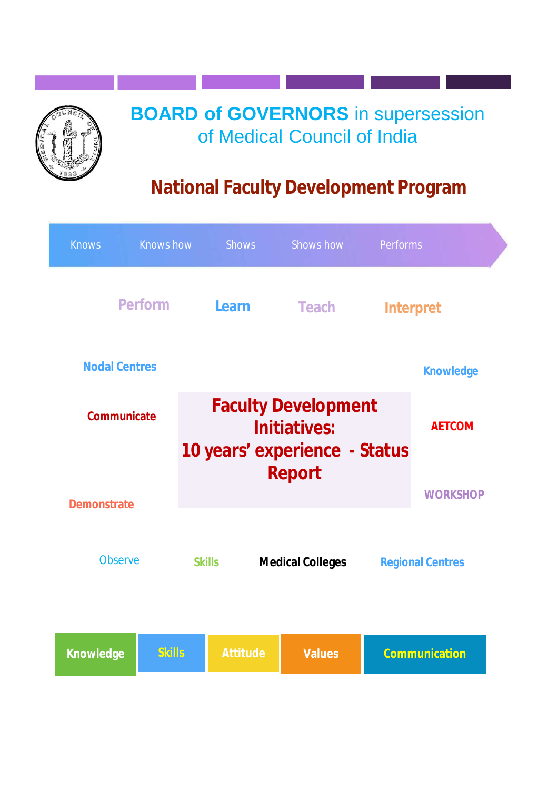# **BOARD of GOVERNORS** in supersession of Medical Council of India

# **National Faculty Development Program**

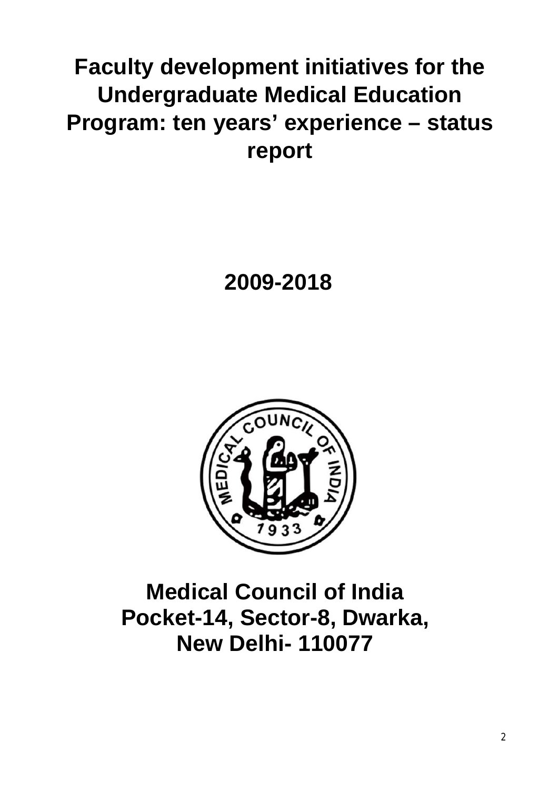# **Faculty development initiatives for the Undergraduate Medical Education Program: ten years' experience – status report**

# **2009-2018**



# **Medical Council of India Pocket-14, Sector-8, Dwarka, New Delhi- 110077**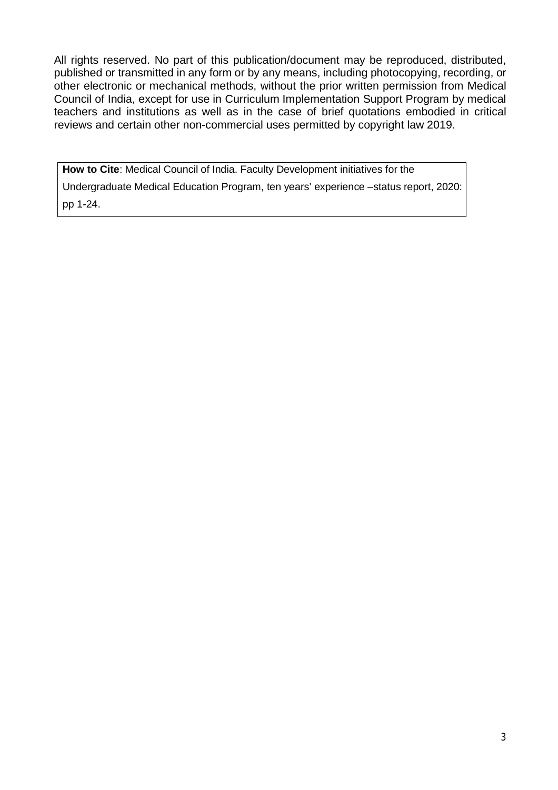All rights reserved. No part of this publication/document may be reproduced, distributed, published or transmitted in any form or by any means, including photocopying, recording, or other electronic or mechanical methods, without the prior written permission from Medical Council of India, except for use in Curriculum Implementation Support Program by medical teachers and institutions as well as in the case of brief quotations embodied in critical reviews and certain other non-commercial uses permitted by copyright law 2019.

**How to Cite**: Medical Council of India. Faculty Development initiatives for the

Undergraduate Medical Education Program, ten years' experience –status report, 2020: pp 1-24.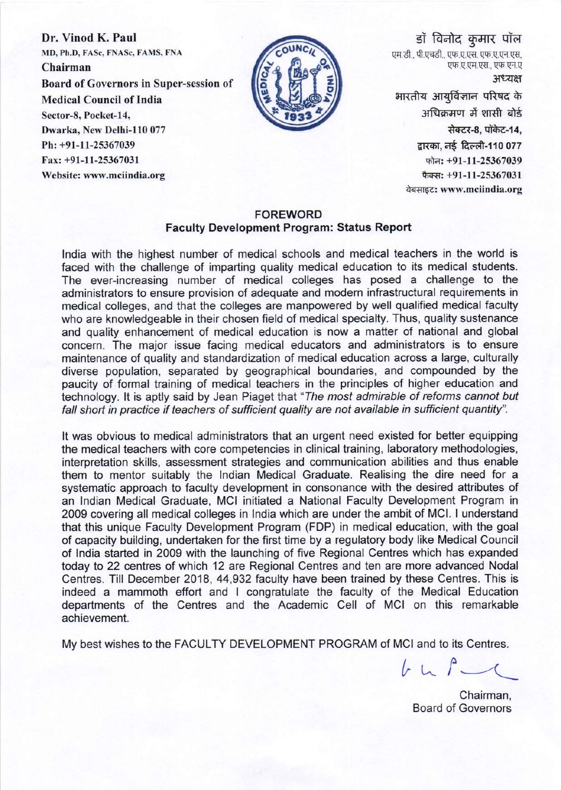Dr. Vinod K. Paul MD, Ph.D, FASc, FNASc, FAMS, FNA Chairman **Board of Governors in Super-session of Medical Council of India** Sector-8, Pocket-14, Dwarka, New Delhi-110 077 Ph: +91-11-25367039 Fax: +91-11-25367031 Website: www.mciindia.org



डॉ विनोद कुमार पॉल एम.डी.. पी.एचडी.. एफ.ए.एस. एफ.ए.एन.एस. एफ.ए.एम.एस., एफ.एन.ए अध्यक्ष भारतीय आयुर्विज्ञान परिषद के अधिक्रमण में शासी बोर्ड सेक्टर-8, पॉकेट-14,

> द्वारका, नई दिल्ली-110 077 फोन: +91-11-25367039 फैक्स: +91-11-25367031 वेबसाइट: www.mciindia.org

#### **FOREWORD Faculty Development Program: Status Report**

India with the highest number of medical schools and medical teachers in the world is faced with the challenge of imparting quality medical education to its medical students. The ever-increasing number of medical colleges has posed a challenge to the administrators to ensure provision of adequate and modern infrastructural requirements in medical colleges, and that the colleges are manpowered by well qualified medical faculty who are knowledgeable in their chosen field of medical specialty. Thus, quality sustenance and quality enhancement of medical education is now a matter of national and global concern. The major issue facing medical educators and administrators is to ensure maintenance of quality and standardization of medical education across a large, culturally diverse population, separated by geographical boundaries, and compounded by the paucity of formal training of medical teachers in the principles of higher education and technology. It is aptly said by Jean Piaget that "The most admirable of reforms cannot but fall short in practice if teachers of sufficient quality are not available in sufficient quantity".

It was obvious to medical administrators that an urgent need existed for better equipping the medical teachers with core competencies in clinical training, laboratory methodologies, interpretation skills, assessment strategies and communication abilities and thus enable them to mentor suitably the Indian Medical Graduate. Realising the dire need for a systematic approach to faculty development in consonance with the desired attributes of an Indian Medical Graduate. MCI initiated a National Faculty Development Program in 2009 covering all medical colleges in India which are under the ambit of MCI. I understand that this unique Faculty Development Program (FDP) in medical education, with the goal of capacity building, undertaken for the first time by a regulatory body like Medical Council of India started in 2009 with the launching of five Regional Centres which has expanded today to 22 centres of which 12 are Regional Centres and ten are more advanced Nodal Centres. Till December 2018, 44,932 faculty have been trained by these Centres. This is indeed a mammoth effort and I congratulate the faculty of the Medical Education departments of the Centres and the Academic Cell of MCI on this remarkable achievement.

My best wishes to the FACULTY DEVELOPMENT PROGRAM of MCI and to its Centres.

 $b L f$ 

Chairman, **Board of Governors**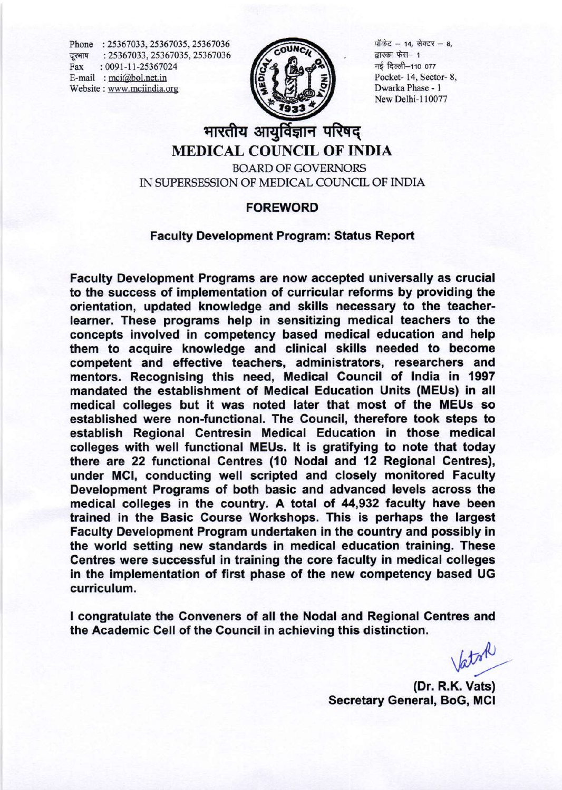Phone: 25367033, 25367035, 25367036 दरभाष: 25367033, 25367035, 25367036  $: 0091 - 11 - 25367024$ Fax E-mail : mci@bol.net.in Website: www.mciindia.org



पॉकेट - 14, सेक्टर - 8. द्रारका फेस- 1 नई दिल्ली-110 077 Pocket-14, Sector-8. Dwarka Phase - 1 New Delhi-110077

# भारतीय आयुर्विज्ञान परिषद् **MEDICAL COUNCIL OF INDIA**

**BOARD OF GOVERNORS** IN SUPERSESSION OF MEDICAL COUNCIL OF INDIA

### **FOREWORD**

#### **Faculty Development Program: Status Report**

Faculty Development Programs are now accepted universally as crucial to the success of implementation of curricular reforms by providing the orientation, updated knowledge and skills necessary to the teacherlearner. These programs help in sensitizing medical teachers to the concepts involved in competency based medical education and help them to acquire knowledge and clinical skills needed to become competent and effective teachers, administrators, researchers and mentors. Recognising this need, Medical Council of India in 1997 mandated the establishment of Medical Education Units (MEUs) in all medical colleges but it was noted later that most of the MEUs so established were non-functional. The Council, therefore took steps to establish Regional Centresin Medical Education in those medical colleges with well functional MEUs. It is gratifying to note that today there are 22 functional Centres (10 Nodal and 12 Regional Centres), under MCI, conducting well scripted and closely monitored Faculty Development Programs of both basic and advanced levels across the medical colleges in the country. A total of 44,932 faculty have been trained in the Basic Course Workshops. This is perhaps the largest Faculty Development Program undertaken in the country and possibly in the world setting new standards in medical education training. These Centres were successful in training the core faculty in medical colleges in the implementation of first phase of the new competency based UG curriculum.

I congratulate the Conveners of all the Nodal and Regional Centres and the Academic Cell of the Council in achieving this distinction.

aton

(Dr. R.K. Vats) **Secretary General, BoG, MCI**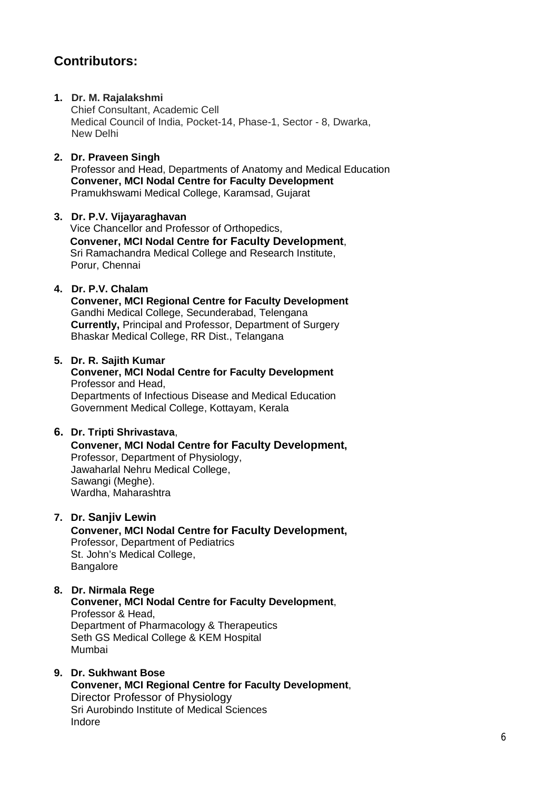# **Contributors:**

# **1. Dr. M. Rajalakshmi**

Chief Consultant, Academic Cell Medical Council of India, Pocket-14, Phase-1, Sector - 8, Dwarka, New Delhi

# **2. Dr. Praveen Singh**

Professor and Head, Departments of Anatomy and Medical Education **Convener, MCI Nodal Centre for Faculty Development** Pramukhswami Medical College, Karamsad, Gujarat

## **3. Dr. P.V. Vijayaraghavan**

Vice Chancellor and Professor of Orthopedics, **Convener, MCI Nodal Centre for Faculty Development**, Sri Ramachandra Medical College and Research Institute, Porur, Chennai

## **4. Dr. P.V. Chalam**

**Convener, MCI Regional Centre for Faculty Development** Gandhi Medical College, Secunderabad, Telengana **Currently,** Principal and Professor, Department of Surgery Bhaskar Medical College, RR Dist., Telangana

## **5. Dr. R. Sajith Kumar**

#### **Convener, MCI Nodal Centre for Faculty Development** Professor and Head, Departments of Infectious Disease and Medical Education Government Medical College, Kottayam, Kerala

## **6. Dr. Tripti Shrivastava**,

#### **Convener, MCI Nodal Centre for Faculty Development,** Professor, Department of Physiology, Jawaharlal Nehru Medical College, Sawangi (Meghe). Wardha, Maharashtra

**7. Dr. Sanjiv Lewin**

#### **Convener, MCI Nodal Centre for Faculty Development,** Professor, Department of Pediatrics St. John's Medical College,

Bangalore

#### **8. Dr. Nirmala Rege Convener, MCI Nodal Centre for Faculty Development**,

Professor & Head, Department of Pharmacology & Therapeutics Seth GS Medical College & KEM Hospital Mumbai

## **9. Dr. Sukhwant Bose**

**Convener, MCI Regional Centre for Faculty Development**, Director Professor of Physiology Sri Aurobindo Institute of Medical Sciences Indore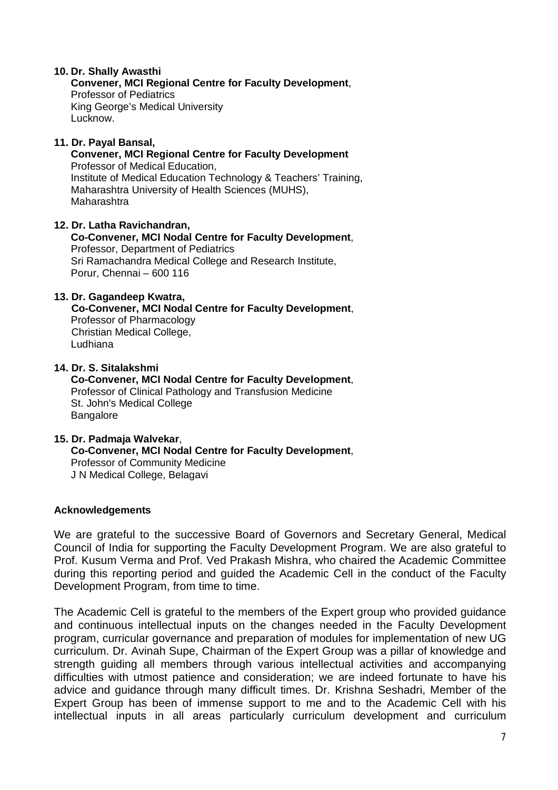#### **10. Dr. Shally Awasthi**

**Convener, MCI Regional Centre for Faculty Development**,

Professor of Pediatrics King George's Medical University Lucknow.

#### **11. Dr. Payal Bansal,**

**Convener, MCI Regional Centre for Faculty Development** Professor of Medical Education, Institute of Medical Education Technology & Teachers' Training, Maharashtra University of Health Sciences (MUHS), Maharashtra

**12. Dr. Latha Ravichandran, Co-Convener, MCI Nodal Centre for Faculty Development**, Professor, Department of Pediatrics Sri Ramachandra Medical College and Research Institute, Porur, Chennai – 600 116

#### **13. Dr. Gagandeep Kwatra,**

 **Co-Convener, MCI Nodal Centre for Faculty Development**, Professor of Pharmacology Christian Medical College, Ludhiana

#### **14. Dr. S. Sitalakshmi Co-Convener, MCI Nodal Centre for Faculty Development**, Professor of Clinical Pathology and Transfusion Medicine St. John's Medical College **Bangalore**

#### **15. Dr. Padmaja Walvekar**, **Co-Convener, MCI Nodal Centre for Faculty Development**, Professor of Community Medicine J N Medical College, Belagavi

## **Acknowledgements**

We are grateful to the successive Board of Governors and Secretary General, Medical Council of India for supporting the Faculty Development Program. We are also grateful to Prof. Kusum Verma and Prof. Ved Prakash Mishra, who chaired the Academic Committee during this reporting period and guided the Academic Cell in the conduct of the Faculty Development Program, from time to time.

The Academic Cell is grateful to the members of the Expert group who provided guidance and continuous intellectual inputs on the changes needed in the Faculty Development program, curricular governance and preparation of modules for implementation of new UG curriculum. Dr. Avinah Supe, Chairman of the Expert Group was a pillar of knowledge and strength guiding all members through various intellectual activities and accompanying difficulties with utmost patience and consideration; we are indeed fortunate to have his advice and guidance through many difficult times. Dr. Krishna Seshadri, Member of the Expert Group has been of immense support to me and to the Academic Cell with his intellectual inputs in all areas particularly curriculum development and curriculum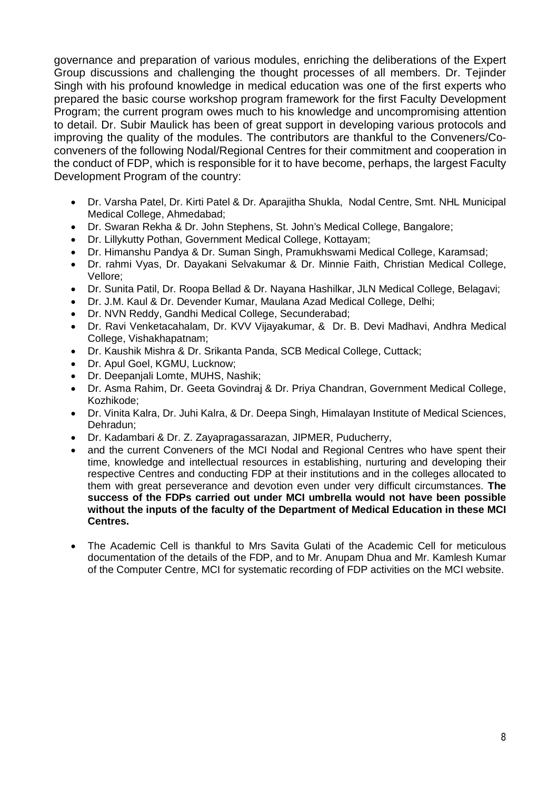governance and preparation of various modules, enriching the deliberations of the Expert Group discussions and challenging the thought processes of all members. Dr. Tejinder Singh with his profound knowledge in medical education was one of the first experts who prepared the basic course workshop program framework for the first Faculty Development Program; the current program owes much to his knowledge and uncompromising attention to detail. Dr. Subir Maulick has been of great support in developing various protocols and improving the quality of the modules. The contributors are thankful to the Conveners/Coconveners of the following Nodal/Regional Centres for their commitment and cooperation in the conduct of FDP, which is responsible for it to have become, perhaps, the largest Faculty Development Program of the country:

- Dr. Varsha Patel, Dr. Kirti Patel & Dr. Aparajitha Shukla, Nodal Centre, Smt. NHL Municipal Medical College, Ahmedabad;
- Dr. Swaran Rekha & Dr. John Stephens, St. John's Medical College, Bangalore;
- Dr. Lillykutty Pothan, Government Medical College, Kottayam;
- Dr. Himanshu Pandya & Dr. Suman Singh, Pramukhswami Medical College, Karamsad;
- Dr. rahmi Vyas, Dr. Dayakani Selvakumar & Dr. Minnie Faith, Christian Medical College, Vellore;
- Dr. Sunita Patil, Dr. Roopa Bellad & Dr. Nayana Hashilkar, JLN Medical College, Belagavi;
- Dr. J.M. Kaul & Dr. Devender Kumar, Maulana Azad Medical College, Delhi;
- Dr. NVN Reddy, Gandhi Medical College, Secunderabad;
- Dr. Ravi Venketacahalam, Dr. KVV Vijayakumar, & Dr. B. Devi Madhavi, Andhra Medical College, Vishakhapatnam;
- Dr. Kaushik Mishra & Dr. Srikanta Panda, SCB Medical College, Cuttack;
- Dr. Apul Goel, KGMU, Lucknow;
- Dr. Deepanjali Lomte, MUHS, Nashik;
- Dr. Asma Rahim, Dr. Geeta Govindraj & Dr. Priya Chandran, Government Medical College, Kozhikode;
- Dr. Vinita Kalra, Dr. Juhi Kalra, & Dr. Deepa Singh, Himalayan Institute of Medical Sciences, Dehradun;
- Dr. Kadambari & Dr. Z. Zayapragassarazan, JIPMER, Puducherry,
- and the current Conveners of the MCI Nodal and Regional Centres who have spent their time, knowledge and intellectual resources in establishing, nurturing and developing their respective Centres and conducting FDP at their institutions and in the colleges allocated to them with great perseverance and devotion even under very difficult circumstances. **The success of the FDPs carried out under MCI umbrella would not have been possible without the inputs of the faculty of the Department of Medical Education in these MCI Centres.**
- The Academic Cell is thankful to Mrs Savita Gulati of the Academic Cell for meticulous documentation of the details of the FDP, and to Mr. Anupam Dhua and Mr. Kamlesh Kumar of the Computer Centre, MCI for systematic recording of FDP activities on the MCI website.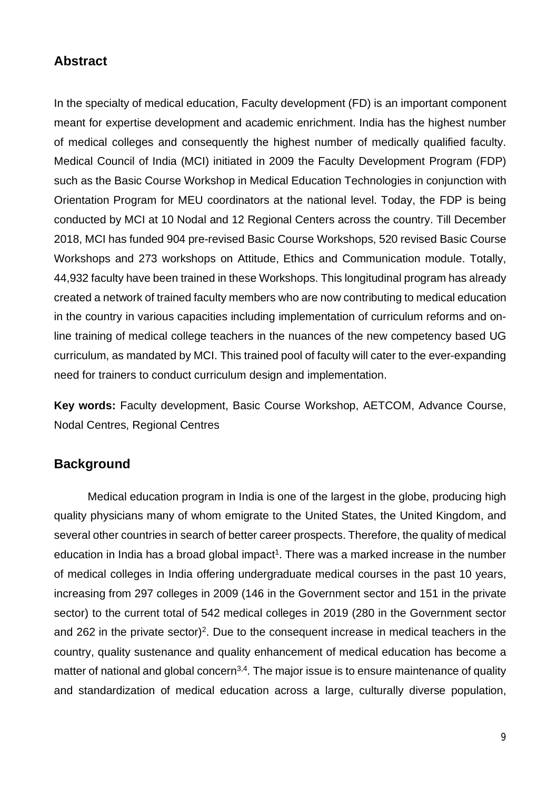# **Abstract**

In the specialty of medical education, Faculty development (FD) is an important component meant for expertise development and academic enrichment. India has the highest number of medical colleges and consequently the highest number of medically qualified faculty. Medical Council of India (MCI) initiated in 2009 the Faculty Development Program (FDP) such as the Basic Course Workshop in Medical Education Technologies in conjunction with Orientation Program for MEU coordinators at the national level. Today, the FDP is being conducted by MCI at 10 Nodal and 12 Regional Centers across the country. Till December 2018, MCI has funded 904 pre-revised Basic Course Workshops, 520 revised Basic Course Workshops and 273 workshops on Attitude, Ethics and Communication module. Totally, 44,932 faculty have been trained in these Workshops. This longitudinal program has already created a network of trained faculty members who are now contributing to medical education in the country in various capacities including implementation of curriculum reforms and online training of medical college teachers in the nuances of the new competency based UG curriculum, as mandated by MCI. This trained pool of faculty will cater to the ever-expanding need for trainers to conduct curriculum design and implementation.

**Key words:** Faculty development, Basic Course Workshop, AETCOM, Advance Course, Nodal Centres, Regional Centres

# **Background**

Medical education program in India is one of the largest in the globe, producing high quality physicians many of whom emigrate to the United States, the United Kingdom, and several other countries in search of better career prospects. Therefore, the quality of medical education in India has a broad global impact<sup>1</sup>. There was a marked increase in the number of medical colleges in India offering undergraduate medical courses in the past 10 years, increasing from 297 colleges in 2009 (146 in the Government sector and 151 in the private sector) to the current total of 542 medical colleges in 2019 (280 in the Government sector and 262 in the private sector)<sup>2</sup>. Due to the consequent increase in medical teachers in the country, quality sustenance and quality enhancement of medical education has become a matter of national and global concern<sup>3,4</sup>. The major issue is to ensure maintenance of quality and standardization of medical education across a large, culturally diverse population,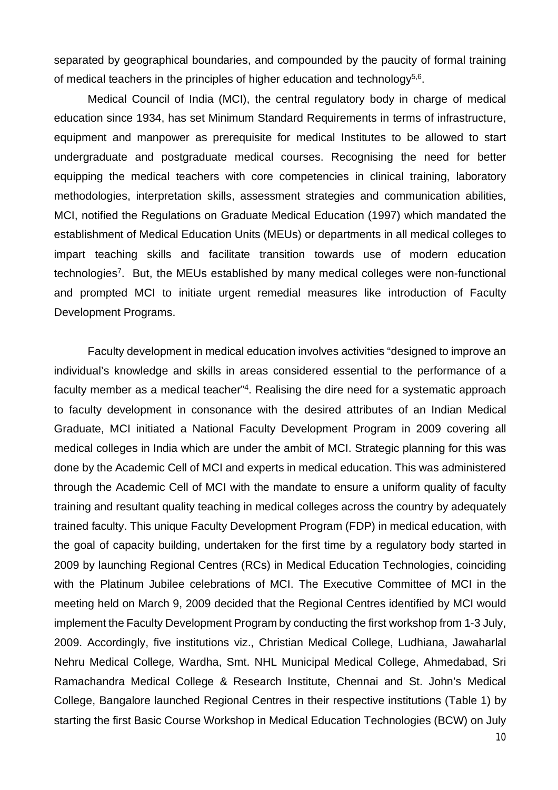separated by geographical boundaries, and compounded by the paucity of formal training of medical teachers in the principles of higher education and technology<sup>5,6</sup>.

Medical Council of India (MCI), the central regulatory body in charge of medical education since 1934, has set Minimum Standard Requirements in terms of infrastructure, equipment and manpower as prerequisite for medical Institutes to be allowed to start undergraduate and postgraduate medical courses. Recognising the need for better equipping the medical teachers with core competencies in clinical training, laboratory methodologies, interpretation skills, assessment strategies and communication abilities, MCI, notified the Regulations on Graduate Medical Education (1997) which mandated the establishment of Medical Education Units (MEUs) or departments in all medical colleges to impart teaching skills and facilitate transition towards use of modern education technologies<sup>7</sup>. But, the MEUs established by many medical colleges were non-functional and prompted MCI to initiate urgent remedial measures like introduction of Faculty Development Programs.

Faculty development in medical education involves activities "designed to improve an individual's knowledge and skills in areas considered essential to the performance of a faculty member as a medical teacher"<sup>4</sup>. Realising the dire need for a systematic approach to faculty development in consonance with the desired attributes of an Indian Medical Graduate, MCI initiated a National Faculty Development Program in 2009 covering all medical colleges in India which are under the ambit of MCI. Strategic planning for this was done by the Academic Cell of MCI and experts in medical education. This was administered through the Academic Cell of MCI with the mandate to ensure a uniform quality of faculty training and resultant quality teaching in medical colleges across the country by adequately trained faculty. This unique Faculty Development Program (FDP) in medical education, with the goal of capacity building, undertaken for the first time by a regulatory body started in 2009 by launching Regional Centres (RCs) in Medical Education Technologies, coinciding with the Platinum Jubilee celebrations of MCI. The Executive Committee of MCI in the meeting held on March 9, 2009 decided that the Regional Centres identified by MCI would implement the Faculty Development Program by conducting the first workshop from 1-3 July, 2009. Accordingly, five institutions viz., Christian Medical College, Ludhiana, Jawaharlal Nehru Medical College, Wardha, Smt. NHL Municipal Medical College, Ahmedabad, Sri Ramachandra Medical College & Research Institute, Chennai and St. John's Medical College, Bangalore launched Regional Centres in their respective institutions (Table 1) by starting the first Basic Course Workshop in Medical Education Technologies (BCW) on July

10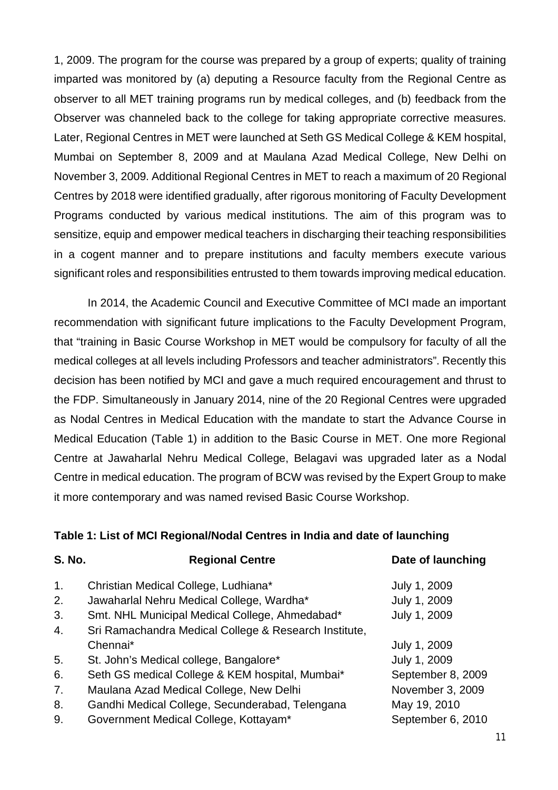1, 2009. The program for the course was prepared by a group of experts; quality of training imparted was monitored by (a) deputing a Resource faculty from the Regional Centre as observer to all MET training programs run by medical colleges, and (b) feedback from the Observer was channeled back to the college for taking appropriate corrective measures. Later, Regional Centres in MET were launched at Seth GS Medical College & KEM hospital, Mumbai on September 8, 2009 and at Maulana Azad Medical College, New Delhi on November 3, 2009. Additional Regional Centres in MET to reach a maximum of 20 Regional Centres by 2018 were identified gradually, after rigorous monitoring of Faculty Development Programs conducted by various medical institutions. The aim of this program was to sensitize, equip and empower medical teachers in discharging their teaching responsibilities in a cogent manner and to prepare institutions and faculty members execute various significant roles and responsibilities entrusted to them towards improving medical education.

In 2014, the Academic Council and Executive Committee of MCI made an important recommendation with significant future implications to the Faculty Development Program, that "training in Basic Course Workshop in MET would be compulsory for faculty of all the medical colleges at all levels including Professors and teacher administrators". Recently this decision has been notified by MCI and gave a much required encouragement and thrust to the FDP. Simultaneously in January 2014, nine of the 20 Regional Centres were upgraded as Nodal Centres in Medical Education with the mandate to start the Advance Course in Medical Education (Table 1) in addition to the Basic Course in MET. One more Regional Centre at Jawaharlal Nehru Medical College, Belagavi was upgraded later as a Nodal Centre in medical education. The program of BCW was revised by the Expert Group to make it more contemporary and was named revised Basic Course Workshop.

## **Table 1: List of MCI Regional/Nodal Centres in India and date of launching**

| <b>S. No.</b>  | <b>Regional Centre</b>                                | Date of launching |
|----------------|-------------------------------------------------------|-------------------|
| 1 <sub>1</sub> | Christian Medical College, Ludhiana*                  | July 1, 2009      |
| 2.             | Jawaharlal Nehru Medical College, Wardha*             | July 1, 2009      |
| 3.             | Smt. NHL Municipal Medical College, Ahmedabad*        | July 1, 2009      |
| 4.             | Sri Ramachandra Medical College & Research Institute, |                   |
|                | Chennai*                                              | July 1, 2009      |
| 5.             | St. John's Medical college, Bangalore*                | July 1, 2009      |
| 6.             | Seth GS medical College & KEM hospital, Mumbai*       | September 8, 2009 |
| 7.             | Maulana Azad Medical College, New Delhi               | November 3, 2009  |
| 8.             | Gandhi Medical College, Secunderabad, Telengana       | May 19, 2010      |
| 9.             | Government Medical College, Kottayam*                 | September 6, 2010 |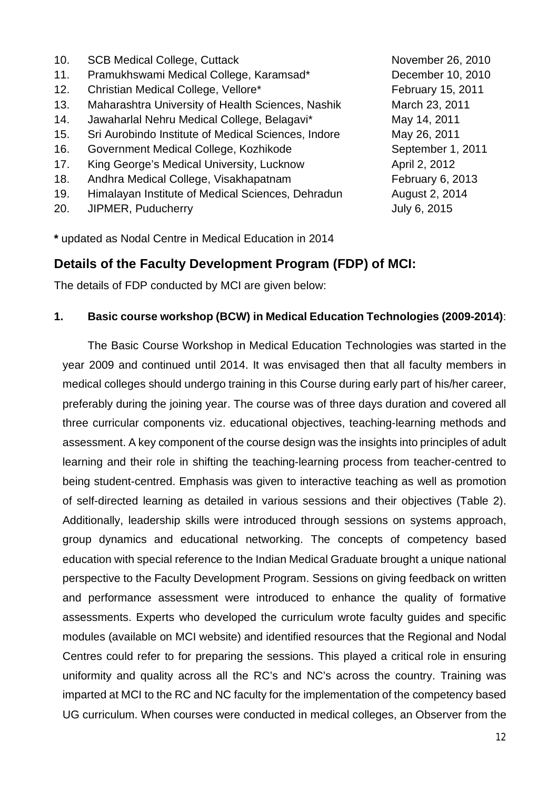10. SCB Medical College, Cuttack November 26, 2010 11. Pramukhswami Medical College, Karamsad\* December 10, 2010 12. Christian Medical College, Vellore\* February 15, 2011 13. Maharashtra University of Health Sciences, Nashik March 23, 2011 14. Jawaharlal Nehru Medical College, Belagavi\* May 14, 2011 15. Sri Aurobindo Institute of Medical Sciences, Indore May 26, 2011 16. Government Medical College, Kozhikode September 1, 2011 17. King George's Medical University, Lucknow **April 2, 2012** 18. Andhra Medical College, Visakhapatnam February 6, 2013 19. Himalayan Institute of Medical Sciences, Dehradun August 2, 2014 20. JIPMER, Puducherry **July 6, 2015** 

**\*** updated as Nodal Centre in Medical Education in 2014

# **Details of the Faculty Development Program (FDP) of MCI:**

The details of FDP conducted by MCI are given below:

# **1. Basic course workshop (BCW) in Medical Education Technologies (2009-2014)**:

The Basic Course Workshop in Medical Education Technologies was started in the year 2009 and continued until 2014. It was envisaged then that all faculty members in medical colleges should undergo training in this Course during early part of his/her career, preferably during the joining year. The course was of three days duration and covered all three curricular components viz. educational objectives, teaching-learning methods and assessment. A key component of the course design was the insights into principles of adult learning and their role in shifting the teaching-learning process from teacher-centred to being student-centred. Emphasis was given to interactive teaching as well as promotion of self-directed learning as detailed in various sessions and their objectives (Table 2). Additionally, leadership skills were introduced through sessions on systems approach, group dynamics and educational networking. The concepts of competency based education with special reference to the Indian Medical Graduate brought a unique national perspective to the Faculty Development Program. Sessions on giving feedback on written and performance assessment were introduced to enhance the quality of formative assessments. Experts who developed the curriculum wrote faculty guides and specific modules (available on MCI website) and identified resources that the Regional and Nodal Centres could refer to for preparing the sessions. This played a critical role in ensuring uniformity and quality across all the RC's and NC's across the country. Training was imparted at MCI to the RC and NC faculty for the implementation of the competency based UG curriculum. When courses were conducted in medical colleges, an Observer from the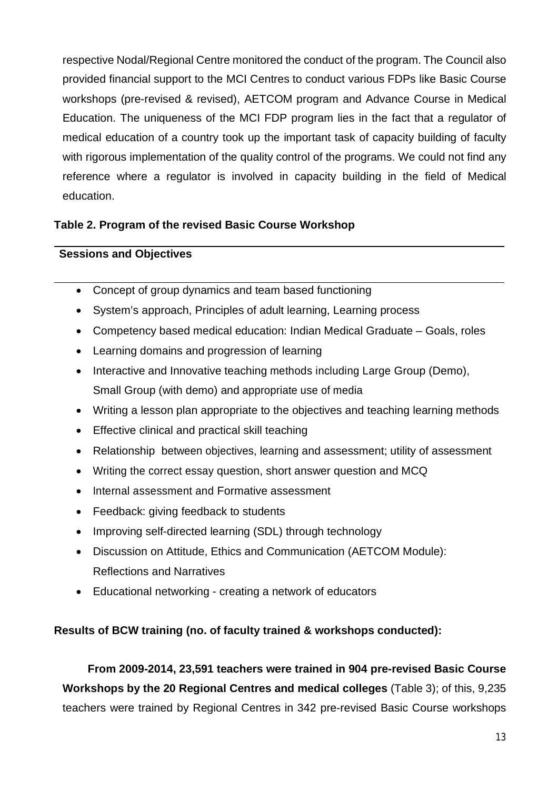respective Nodal/Regional Centre monitored the conduct of the program. The Council also provided financial support to the MCI Centres to conduct various FDPs like Basic Course workshops (pre-revised & revised), AETCOM program and Advance Course in Medical Education. The uniqueness of the MCI FDP program lies in the fact that a regulator of medical education of a country took up the important task of capacity building of faculty with rigorous implementation of the quality control of the programs. We could not find any reference where a regulator is involved in capacity building in the field of Medical education.

# **Table 2. Program of the revised Basic Course Workshop**

# **Sessions and Objectives**

- Concept of group dynamics and team based functioning
- System's approach, Principles of adult learning, Learning process
- Competency based medical education: Indian Medical Graduate Goals, roles
- Learning domains and progression of learning
- Interactive and Innovative teaching methods including Large Group (Demo), Small Group (with demo) and appropriate use of media
- Writing a lesson plan appropriate to the objectives and teaching learning methods
- Effective clinical and practical skill teaching
- Relationship between objectives, learning and assessment; utility of assessment
- Writing the correct essay question, short answer question and MCQ
- Internal assessment and Formative assessment
- Feedback: giving feedback to students
- Improving self-directed learning (SDL) through technology
- Discussion on Attitude, Ethics and Communication (AETCOM Module): Reflections and Narratives
- Educational networking creating a network of educators

# **Results of BCW training (no. of faculty trained & workshops conducted):**

**From 2009-2014, 23,591 teachers were trained in 904 pre-revised Basic Course Workshops by the 20 Regional Centres and medical colleges** (Table 3); of this, 9,235 teachers were trained by Regional Centres in 342 pre-revised Basic Course workshops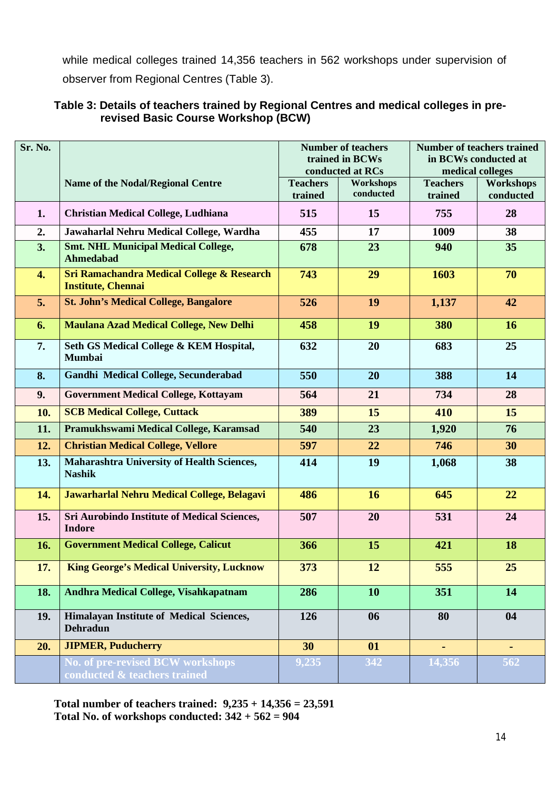while medical colleges trained 14,356 teachers in 562 workshops under supervision of observer from Regional Centres (Table 3).

| Sr. No. |                                                                                    | <b>Number of teachers</b><br>trained in BCWs<br>conducted at RCs |                        | <b>Number of teachers trained</b><br>in BCWs conducted at<br>medical colleges |                        |
|---------|------------------------------------------------------------------------------------|------------------------------------------------------------------|------------------------|-------------------------------------------------------------------------------|------------------------|
|         | <b>Name of the Nodal/Regional Centre</b>                                           | <b>Teachers</b><br>trained                                       | Workshops<br>conducted | <b>Teachers</b><br>trained                                                    | Workshops<br>conducted |
| 1.      | <b>Christian Medical College, Ludhiana</b>                                         | 515                                                              | 15                     | 755                                                                           | 28                     |
| 2.      | Jawaharlal Nehru Medical College, Wardha                                           | 455                                                              | 17                     | 1009                                                                          | 38                     |
| 3.      | <b>Smt. NHL Municipal Medical College,</b><br><b>Ahmedabad</b>                     | 678                                                              | 23                     | 940                                                                           | 35                     |
| 4.      | <b>Sri Ramachandra Medical College &amp; Research</b><br><b>Institute, Chennai</b> | 743                                                              | 29                     | 1603                                                                          | 70                     |
| 5.      | <b>St. John's Medical College, Bangalore</b>                                       | 526                                                              | 19                     | 1,137                                                                         | 42                     |
| 6.      | <b>Maulana Azad Medical College, New Delhi</b>                                     | 458                                                              | 19                     | 380                                                                           | 16                     |
| 7.      | Seth GS Medical College & KEM Hospital,<br><b>Mumbai</b>                           | 632                                                              | 20                     | 683                                                                           | 25                     |
| 8.      | Gandhi Medical College, Secunderabad                                               | 550                                                              | 20                     | 388                                                                           | 14                     |
| 9.      | <b>Government Medical College, Kottayam</b>                                        | 564                                                              | 21                     | 734                                                                           | 28                     |
| 10.     | <b>SCB Medical College, Cuttack</b>                                                | 389                                                              | 15                     | 410                                                                           | 15                     |
| 11.     | Pramukhswami Medical College, Karamsad                                             | 540                                                              | 23                     | 1,920                                                                         | 76                     |
| 12.     | <b>Christian Medical College, Vellore</b>                                          | 597                                                              | 22                     | 746                                                                           | 30                     |
| 13.     | <b>Maharashtra University of Health Sciences,</b><br><b>Nashik</b>                 | 414                                                              | 19                     | 1,068                                                                         | 38                     |
| 14.     | Jawarharlal Nehru Medical College, Belagavi                                        | 486                                                              | 16                     | 645                                                                           | 22                     |
| 15.     | Sri Aurobindo Institute of Medical Sciences,<br><b>Indore</b>                      | 507                                                              | 20                     | 531                                                                           | 24                     |
| 16.     | <b>Government Medical College, Calicut</b>                                         | 366                                                              | 15                     | 421                                                                           | 18                     |
| 17.     | <b>King George's Medical University, Lucknow</b>                                   | 373                                                              | 12                     | 555                                                                           | 25                     |
| 18.     | Andhra Medical College, Visahkapatnam                                              | 286                                                              | <b>10</b>              | 351                                                                           | 14                     |
| 19.     | Himalayan Institute of Medical Sciences,<br><b>Dehradun</b>                        | 126                                                              | 06                     | 80                                                                            | 04                     |
| 20.     | <b>JIPMER, Puducherry</b>                                                          | 30                                                               | 01                     | $\blacksquare$                                                                | ٠                      |
|         | No. of pre-revised BCW workshops<br>conducted & teachers trained                   | 9,235                                                            | 342                    | 14,356                                                                        | 562                    |

# **Table 3: Details of teachers trained by Regional Centres and medical colleges in prerevised Basic Course Workshop (BCW)**

**Total number of teachers trained: 9,235 + 14,356 = 23,591** Total No. of workshops conducted:  $342 + 562 = 904$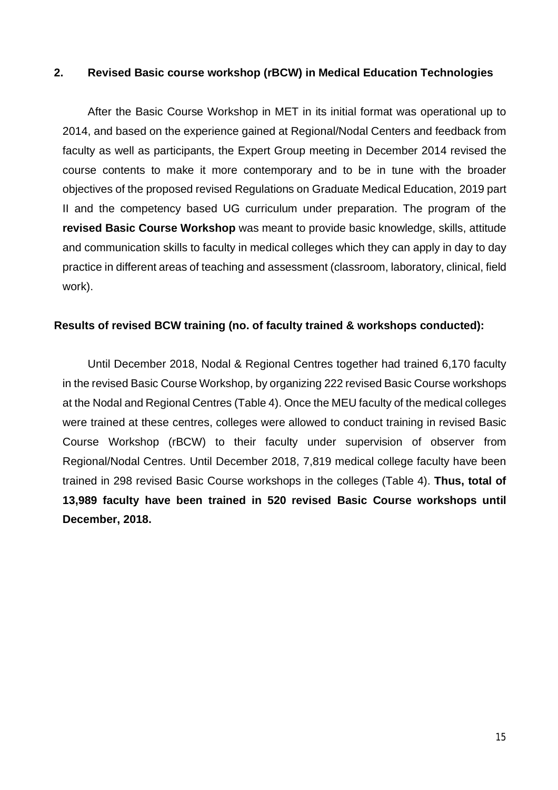## **2. Revised Basic course workshop (rBCW) in Medical Education Technologies**

After the Basic Course Workshop in MET in its initial format was operational up to 2014, and based on the experience gained at Regional/Nodal Centers and feedback from faculty as well as participants, the Expert Group meeting in December 2014 revised the course contents to make it more contemporary and to be in tune with the broader objectives of the proposed revised Regulations on Graduate Medical Education, 2019 part II and the competency based UG curriculum under preparation. The program of the **revised Basic Course Workshop** was meant to provide basic knowledge, skills, attitude and communication skills to faculty in medical colleges which they can apply in day to day practice in different areas of teaching and assessment (classroom, laboratory, clinical, field work).

## **Results of revised BCW training (no. of faculty trained & workshops conducted):**

Until December 2018, Nodal & Regional Centres together had trained 6,170 faculty in the revised Basic Course Workshop, by organizing 222 revised Basic Course workshops at the Nodal and Regional Centres (Table 4). Once the MEU faculty of the medical colleges were trained at these centres, colleges were allowed to conduct training in revised Basic Course Workshop (rBCW) to their faculty under supervision of observer from Regional/Nodal Centres. Until December 2018, 7,819 medical college faculty have been trained in 298 revised Basic Course workshops in the colleges (Table 4). **Thus, total of 13,989 faculty have been trained in 520 revised Basic Course workshops until December, 2018.**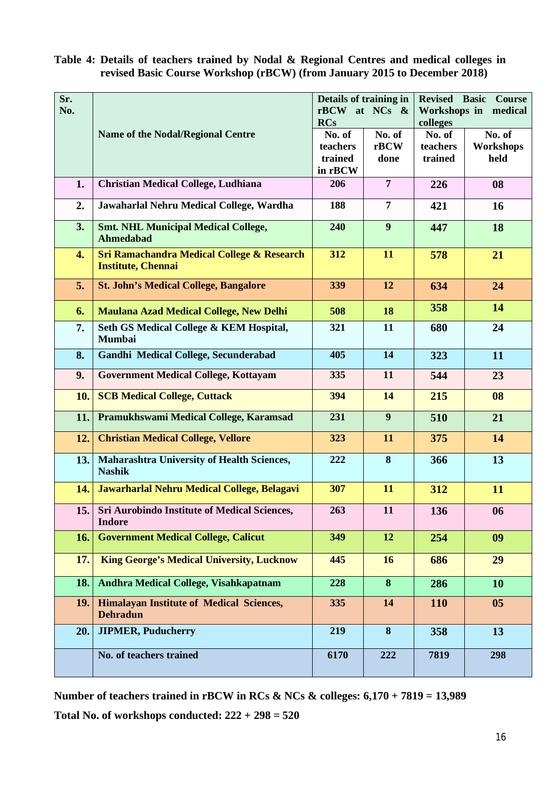# **Table 4: Details of teachers trained by Nodal & Regional Centres and medical colleges in revised Basic Course Workshop (rBCW) (from January 2015 to December 2018)**

| Sr. |                                                                                    |                      | Details of training in | <b>Revised Basic Course</b> |                  |
|-----|------------------------------------------------------------------------------------|----------------------|------------------------|-----------------------------|------------------|
| No. |                                                                                    | rBCW at NCs &        |                        | Workshops in medical        |                  |
|     | <b>Name of the Nodal/Regional Centre</b>                                           | <b>RCs</b><br>No. of | No. of                 | colleges<br>No. of          | No. of           |
|     |                                                                                    | teachers             | rBCW                   | teachers                    | <b>Workshops</b> |
|     |                                                                                    | trained              | done                   | trained                     | held             |
|     |                                                                                    | in rBCW              |                        |                             |                  |
| 1.  | <b>Christian Medical College, Ludhiana</b>                                         | 206                  | $\overline{7}$         | 226                         | 08               |
| 2.  | Jawaharlal Nehru Medical College, Wardha                                           | 188                  | 7                      | 421                         | 16               |
| 3.  | <b>Smt. NHL Municipal Medical College,</b><br><b>Ahmedabad</b>                     | 240                  | 9                      | 447                         | 18               |
| 4.  | <b>Sri Ramachandra Medical College &amp; Research</b><br><b>Institute, Chennai</b> | 312                  | 11                     | 578                         | 21               |
| 5.  | <b>St. John's Medical College, Bangalore</b>                                       | 339                  | 12                     | 634                         | 24               |
| 6.  | <b>Maulana Azad Medical College, New Delhi</b>                                     | 508                  | 18                     | 358                         | 14               |
| 7.  | Seth GS Medical College & KEM Hospital,<br><b>Mumbai</b>                           | 321                  | 11                     | 680                         | 24               |
| 8.  | Gandhi Medical College, Secunderabad                                               | 405                  | 14                     | 323                         | 11               |
| 9.  | <b>Government Medical College, Kottayam</b>                                        | 335                  | 11                     | 544                         | 23               |
| 10. | <b>SCB Medical College, Cuttack</b>                                                | 394                  | 14                     | 215                         | 08               |
| 11. | Pramukhswami Medical College, Karamsad                                             | 231                  | 9                      | 510                         | 21               |
| 12. | <b>Christian Medical College, Vellore</b>                                          | 323                  | 11                     | 375                         | 14               |
| 13. | Maharashtra University of Health Sciences,<br><b>Nashik</b>                        | 222                  | 8                      | 366                         | 13               |
| 14. | Jawarharlal Nehru Medical College, Belagavi                                        | 307                  | 11                     | 312                         | 11               |
|     | 15. Sri Aurobindo Institute of Medical Sciences,<br><b>Indore</b>                  | 263                  | 11                     | 136                         | 06               |
| 16. | <b>Government Medical College, Calicut</b>                                         | 349                  | 12                     | 254                         | 09               |
| 17. | <b>King George's Medical University, Lucknow</b>                                   | 445                  | 16                     | 686                         | 29               |
| 18. | Andhra Medical College, Visahkapatnam                                              | 228                  | 8                      | 286                         | 10               |
| 19. | <b>Himalayan Institute of Medical Sciences,</b><br><b>Dehradun</b>                 | 335                  | 14                     | <b>110</b>                  | 05               |
| 20. | <b>JIPMER, Puducherry</b>                                                          | 219                  | 8                      | 358                         | 13               |
|     | No. of teachers trained                                                            | 6170                 | 222                    | 7819                        | 298              |

**Number of teachers trained in rBCW in RCs & NCs & colleges: 6,170 + 7819 = 13,989 Total No. of workshops conducted: 222 + 298 = 520**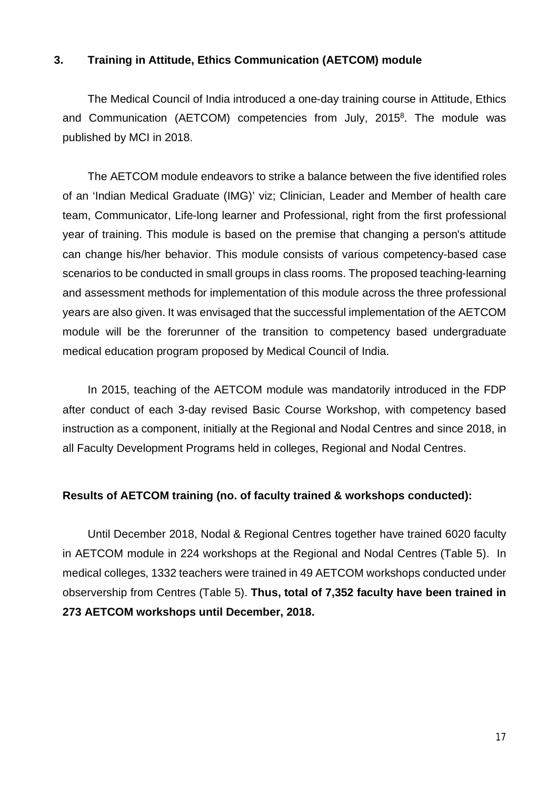### **3. Training in Attitude, Ethics Communication (AETCOM) module**

The Medical Council of India introduced a one-day training course in Attitude, Ethics and Communication (AETCOM) competencies from July, 2015<sup>8</sup>. The module was published by MCI in 2018.

The AETCOM module endeavors to strike a balance between the five identified roles of an 'Indian Medical Graduate (IMG)' viz; Clinician, Leader and Member of health care team, Communicator, Life-long learner and Professional, right from the first professional year of training. This module is based on the premise that changing a person's attitude can change his/her behavior. This module consists of various competency-based case scenarios to be conducted in small groups in class rooms. The proposed teaching-learning and assessment methods for implementation of this module across the three professional years are also given. It was envisaged that the successful implementation of the AETCOM module will be the forerunner of the transition to competency based undergraduate medical education program proposed by Medical Council of India.

In 2015, teaching of the AETCOM module was mandatorily introduced in the FDP after conduct of each 3-day revised Basic Course Workshop, with competency based instruction as a component, initially at the Regional and Nodal Centres and since 2018, in all Faculty Development Programs held in colleges, Regional and Nodal Centres.

#### **Results of AETCOM training (no. of faculty trained & workshops conducted):**

Until December 2018, Nodal & Regional Centres together have trained 6020 faculty in AETCOM module in 224 workshops at the Regional and Nodal Centres (Table 5). In medical colleges, 1332 teachers were trained in 49 AETCOM workshops conducted under observership from Centres (Table 5). **Thus, total of 7,352 faculty have been trained in 273 AETCOM workshops until December, 2018.**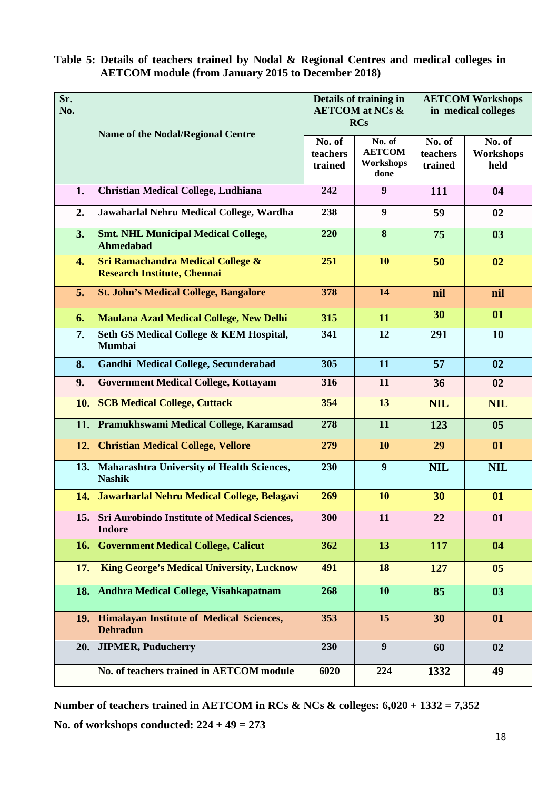# **Table 5: Details of teachers trained by Nodal & Regional Centres and medical colleges in AETCOM module (from January 2015 to December 2018)**

| Sr.<br>No. |                                                                                    | Details of training in<br><b>AETCOM</b> at NCs &<br><b>RCs</b> |                                              | <b>AETCOM Workshops</b><br>in medical colleges |                             |
|------------|------------------------------------------------------------------------------------|----------------------------------------------------------------|----------------------------------------------|------------------------------------------------|-----------------------------|
|            |                                                                                    |                                                                |                                              |                                                |                             |
|            | <b>Name of the Nodal/Regional Centre</b>                                           | No. of<br>teachers<br>trained                                  | No. of<br><b>AETCOM</b><br>Workshops<br>done | No. of<br>teachers<br>trained                  | No. of<br>Workshops<br>held |
| 1.         | <b>Christian Medical College, Ludhiana</b>                                         | 242                                                            | 9                                            | 111                                            | 04                          |
| 2.         | Jawaharlal Nehru Medical College, Wardha                                           | 238                                                            | 9                                            | 59                                             | 02                          |
| 3.         | <b>Smt. NHL Municipal Medical College,</b><br>Ahmedabad                            | 220                                                            | 8                                            | 75                                             | 03                          |
| 4.         | <b>Sri Ramachandra Medical College &amp;</b><br><b>Research Institute, Chennai</b> | 251                                                            | 10                                           | 50                                             | 02                          |
| 5.         | <b>St. John's Medical College, Bangalore</b>                                       | 378                                                            | 14                                           | nil                                            | nil                         |
| 6.         | <b>Maulana Azad Medical College, New Delhi</b>                                     | 315                                                            | 11                                           | 30                                             | 01                          |
| 7.         | Seth GS Medical College & KEM Hospital,<br><b>Mumbai</b>                           | 341                                                            | 12                                           | 291                                            | 10                          |
| 8.         | Gandhi Medical College, Secunderabad                                               | 305                                                            | 11                                           | 57                                             | 02                          |
| 9.         | <b>Government Medical College, Kottayam</b>                                        | 316                                                            | 11                                           | 36                                             | 02                          |
| 10.        | <b>SCB Medical College, Cuttack</b>                                                | 354                                                            | 13                                           | <b>NIL</b>                                     | <b>NIL</b>                  |
| 11.        | Pramukhswami Medical College, Karamsad                                             | 278                                                            | 11                                           | 123                                            | 0 <sub>5</sub>              |
| 12.        | <b>Christian Medical College, Vellore</b>                                          | 279                                                            | 10                                           | 29                                             | 01                          |
| 13.        | Maharashtra University of Health Sciences,<br><b>Nashik</b>                        | 230                                                            | 9                                            | <b>NIL</b>                                     | <b>NIL</b>                  |
| 14.        | Jawarharlal Nehru Medical College, Belagavi                                        | 269                                                            | 10                                           | 30                                             | 01                          |
| 15.        | <b>Sri Aurobindo Institute of Medical Sciences,</b><br><b>Indore</b>               | 300                                                            | 11                                           | 22                                             | 01                          |
| 16.        | <b>Government Medical College, Calicut</b>                                         | 362                                                            | 13                                           | 117                                            | 04                          |
| 17.        | <b>King George's Medical University, Lucknow</b>                                   | 491                                                            | 18                                           | 127                                            | 0 <sub>5</sub>              |
| 18.        | Andhra Medical College, Visahkapatnam                                              | 268                                                            | 10                                           | 85                                             | 03                          |
| 19.        | <b>Himalayan Institute of Medical Sciences,</b><br><b>Dehradun</b>                 | 353                                                            | 15                                           | 30                                             | 01                          |
| 20.        | <b>JIPMER, Puducherry</b>                                                          | 230                                                            | 9                                            | 60                                             | 02                          |
|            | No. of teachers trained in AETCOM module                                           | 6020                                                           | 224                                          | 1332                                           | 49                          |

**Number of teachers trained in AETCOM in RCs & NCs & colleges: 6,020 + 1332 = 7,352 No. of workshops conducted: 224 + 49 = 273**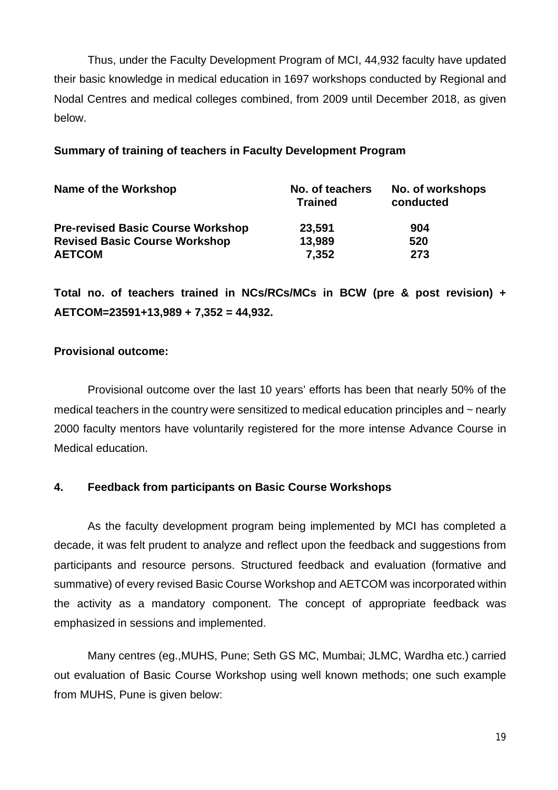Thus, under the Faculty Development Program of MCI, 44,932 faculty have updated their basic knowledge in medical education in 1697 workshops conducted by Regional and Nodal Centres and medical colleges combined, from 2009 until December 2018, as given below.

# **Summary of training of teachers in Faculty Development Program**

| Name of the Workshop                     | No. of teachers<br><b>Trained</b> | No. of workshops<br>conducted |  |
|------------------------------------------|-----------------------------------|-------------------------------|--|
| <b>Pre-revised Basic Course Workshop</b> | 23,591                            | 904                           |  |
| <b>Revised Basic Course Workshop</b>     | 13,989                            | 520                           |  |
| <b>AETCOM</b>                            | 7,352                             | 273                           |  |

**Total no. of teachers trained in NCs/RCs/MCs in BCW (pre & post revision) + AETCOM=23591+13,989 + 7,352 = 44,932.**

# **Provisional outcome:**

Provisional outcome over the last 10 years' efforts has been that nearly 50% of the medical teachers in the country were sensitized to medical education principles and ~ nearly 2000 faculty mentors have voluntarily registered for the more intense Advance Course in Medical education.

# **4. Feedback from participants on Basic Course Workshops**

As the faculty development program being implemented by MCI has completed a decade, it was felt prudent to analyze and reflect upon the feedback and suggestions from participants and resource persons. Structured feedback and evaluation (formative and summative) of every revised Basic Course Workshop and AETCOM was incorporated within the activity as a mandatory component. The concept of appropriate feedback was emphasized in sessions and implemented.

Many centres (eg.,MUHS, Pune; Seth GS MC, Mumbai; JLMC, Wardha etc.) carried out evaluation of Basic Course Workshop using well known methods; one such example from MUHS, Pune is given below: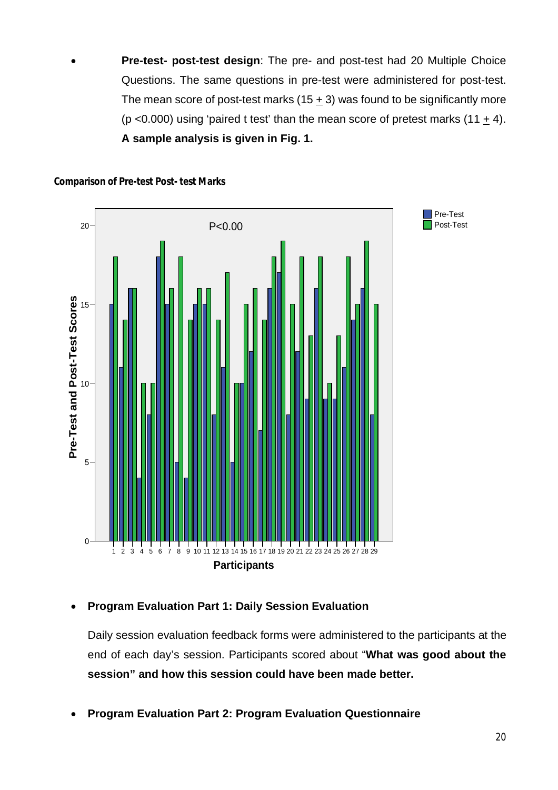**Pre-test- post-test design**: The pre- and post-test had 20 Multiple Choice Questions. The same questions in pre-test were administered for post-test. The mean score of post-test marks  $(15 + 3)$  was found to be significantly more (p <0.000) using 'paired t test' than the mean score of pretest marks (11  $\pm$  4). **A sample analysis is given in Fig. 1.** 



**Comparison of Pre-test Post- test Marks**

# **Program Evaluation Part 1: Daily Session Evaluation**

Daily session evaluation feedback forms were administered to the participants at the end of each day's session. Participants scored about "**What was good about the session" and how this session could have been made better.** 

**Program Evaluation Part 2: Program Evaluation Questionnaire**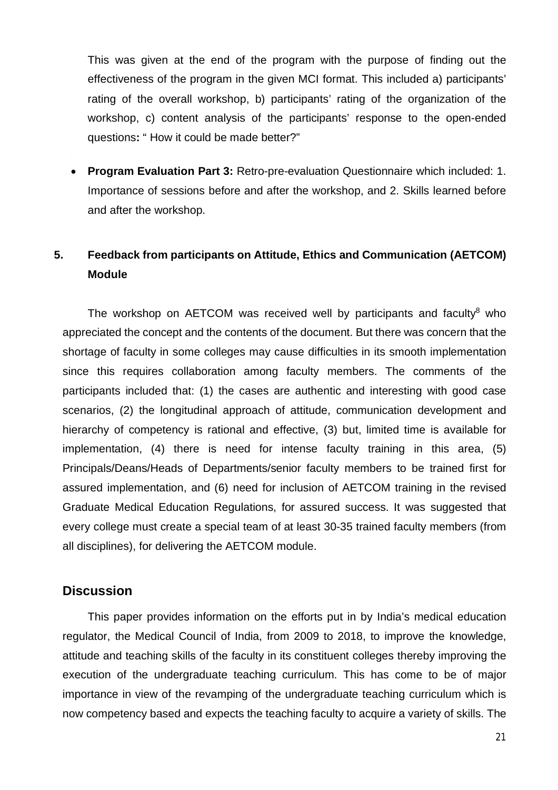This was given at the end of the program with the purpose of finding out the effectiveness of the program in the given MCI format. This included a) participants' rating of the overall workshop, b) participants' rating of the organization of the workshop, c) content analysis of the participants' response to the open-ended questions**:** " How it could be made better?"

 **Program Evaluation Part 3:** Retro-pre-evaluation Questionnaire which included: 1. Importance of sessions before and after the workshop, and 2. Skills learned before and after the workshop.

# **5. Feedback from participants on Attitude, Ethics and Communication (AETCOM) Module**

The workshop on AETCOM was received well by participants and faculty $8$  who appreciated the concept and the contents of the document. But there was concern that the shortage of faculty in some colleges may cause difficulties in its smooth implementation since this requires collaboration among faculty members. The comments of the participants included that: (1) the cases are authentic and interesting with good case scenarios, (2) the longitudinal approach of attitude, communication development and hierarchy of competency is rational and effective, (3) but, limited time is available for implementation, (4) there is need for intense faculty training in this area, (5) Principals/Deans/Heads of Departments/senior faculty members to be trained first for assured implementation, and (6) need for inclusion of AETCOM training in the revised Graduate Medical Education Regulations, for assured success. It was suggested that every college must create a special team of at least 30-35 trained faculty members (from all disciplines), for delivering the AETCOM module.

# **Discussion**

This paper provides information on the efforts put in by India's medical education regulator, the Medical Council of India, from 2009 to 2018, to improve the knowledge, attitude and teaching skills of the faculty in its constituent colleges thereby improving the execution of the undergraduate teaching curriculum. This has come to be of major importance in view of the revamping of the undergraduate teaching curriculum which is now competency based and expects the teaching faculty to acquire a variety of skills. The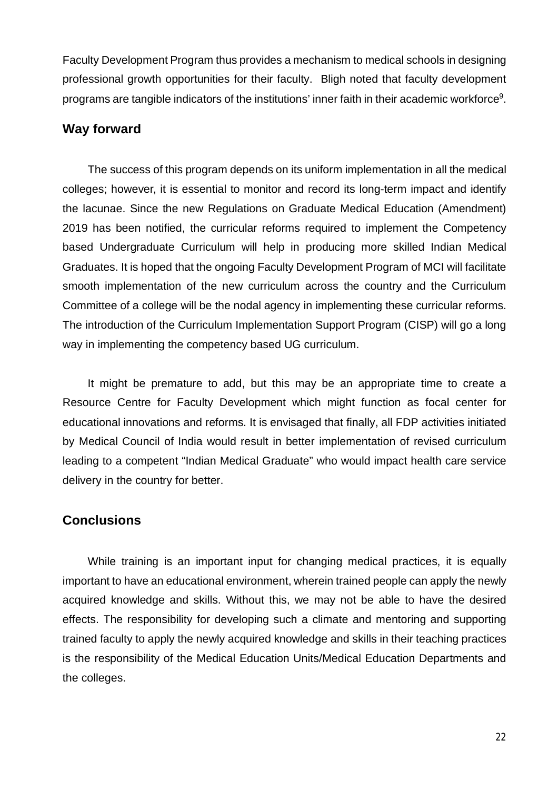Faculty Development Program thus provides a mechanism to medical schools in designing professional growth opportunities for their faculty. Bligh noted that faculty development programs are tangible indicators of the institutions' inner faith in their academic workforce<sup>9</sup>.

# **Way forward**

The success of this program depends on its uniform implementation in all the medical colleges; however, it is essential to monitor and record its long-term impact and identify the lacunae. Since the new Regulations on Graduate Medical Education (Amendment) 2019 has been notified, the curricular reforms required to implement the Competency based Undergraduate Curriculum will help in producing more skilled Indian Medical Graduates. It is hoped that the ongoing Faculty Development Program of MCI will facilitate smooth implementation of the new curriculum across the country and the Curriculum Committee of a college will be the nodal agency in implementing these curricular reforms. The introduction of the Curriculum Implementation Support Program (CISP) will go a long way in implementing the competency based UG curriculum.

It might be premature to add, but this may be an appropriate time to create a Resource Centre for Faculty Development which might function as focal center for educational innovations and reforms. It is envisaged that finally, all FDP activities initiated by Medical Council of India would result in better implementation of revised curriculum leading to a competent "Indian Medical Graduate" who would impact health care service delivery in the country for better.

# **Conclusions**

While training is an important input for changing medical practices, it is equally important to have an educational environment, wherein trained people can apply the newly acquired knowledge and skills. Without this, we may not be able to have the desired effects. The responsibility for developing such a climate and mentoring and supporting trained faculty to apply the newly acquired knowledge and skills in their teaching practices is the responsibility of the Medical Education Units/Medical Education Departments and the colleges.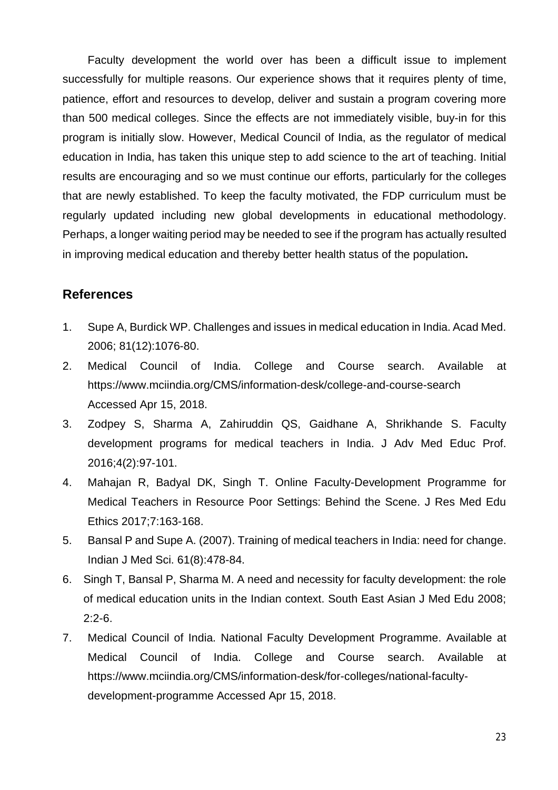Faculty development the world over has been a difficult issue to implement successfully for multiple reasons. Our experience shows that it requires plenty of time, patience, effort and resources to develop, deliver and sustain a program covering more than 500 medical colleges. Since the effects are not immediately visible, buy-in for this program is initially slow. However, Medical Council of India, as the regulator of medical education in India, has taken this unique step to add science to the art of teaching. Initial results are encouraging and so we must continue our efforts, particularly for the colleges that are newly established. To keep the faculty motivated, the FDP curriculum must be regularly updated including new global developments in educational methodology. Perhaps, a longer waiting period may be needed to see if the program has actually resulted in improving medical education and thereby better health status of the population**.**

# **References**

- 1. Supe A, Burdick WP. Challenges and issues in medical education in India. Acad Med. 2006; 81(12):1076-80.
- 2. Medical Council of India. College and Course search. Available at <https://www.mciindia.org/CMS/information-desk/college-and-course-search> Accessed Apr 15, 2018.
- 3. Zodpey S, Sharma A, Zahiruddin QS, Gaidhane A, Shrikhande S. Faculty development programs for medical teachers in India. J Adv Med Educ Prof. 2016;4(2):97-101.
- 4. Mahajan R, Badyal DK, Singh T. Online Faculty-Development Programme for Medical Teachers in Resource Poor Settings: Behind the Scene. J Res Med Edu Ethics 2017;7:163-168.
- 5. Bansal P and Supe A. (2007). Training of medical teachers in India: need for change. Indian J Med Sci. 61(8):478-84.
- 6. Singh T, Bansal P, Sharma M. A need and necessity for faculty development: the role of medical education units in the Indian context. South East Asian J Med Edu 2008; 2:2-6.
- 7. Medical Council of India. National Faculty Development Programme. Available at Medical Council of India. College and Course search. Available at [https://www.mciindia.org/CMS/information-desk/for-colleges/national-faculty](https://www.mciindia.org/CMS/information-desk/for-colleges/national-faculty-)development-programme Accessed Apr 15, 2018.